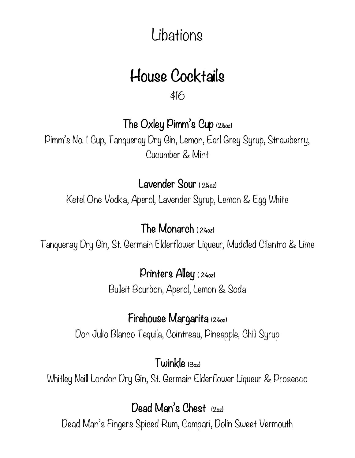# Libations

# House Cocktails

\$16

The Oxley Pimm's Cup (2½oz)

Pimm's No. 1 Cup, Tanqueray Dry Gin, Lemon, Earl Grey Syrup, Strawberry, Cucumber & Mint

Lavender Sour ( 2¼oz)

Ketel One Vodka, Aperol, Lavender Syrup, Lemon & Egg White

#### The Monarch ( 2¼oz)

Tanqueray Dry Gin, St. Germain Elderflower Liqueur, Muddled Cilantro & Lime

Printers Alley ( 2¼oz)

Bulleit Bourbon, Aperol, Lemon & Soda

#### Firehouse Margarita (2½oz)

Don Julio Blanco Tequila, Cointreau, Pineapple, Chili Syrup

Twinkle (3oz)

Whitley Neill London Dry Gin, St. Germain Elderflower Liqueur & Prosecco

#### Dead Man's Chest (202)

Dead Man's Fingers Spiced Rum, Campari, Dolin Sweet Vermouth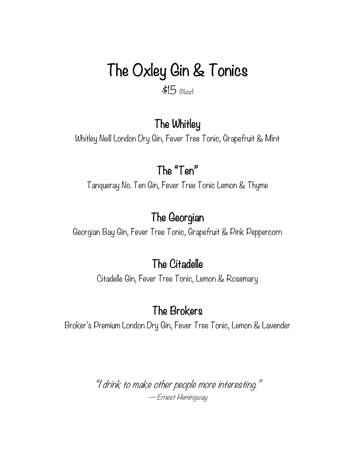# The Oxley Gin & Tonics

\$15 (1½oz)

#### The Whitley

Whitley Neill London Dry Gin, Fever Tree Tonic, Grapefruit & Mint

#### The "Ten"

Tanqueray No. Ten Gin, Fever Tree Tonic Lemon & Thyme

#### The Georgian

Georgian Bay Gin, Fever Tree Tonic, Grapefruit & Pink Peppercorn

#### The Citadelle

Citadelle Gin, Fever Tree Tonic, Lemon & Rosemary

#### The Brokers

Broker's Premium London Dry Gin, Fever Tree Tonic, Lemon & Lavender

"I drink to make other people more interesting." ― Ernest Hemingway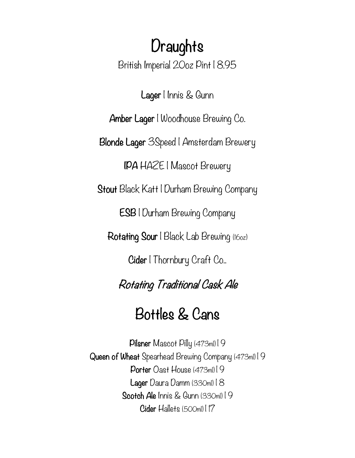# **Draughts**

British Imperial 20oz Pint | 8.95

Lager | Innis & Gunn

Amber Lager | Woodhouse Brewing Co.

Blonde Lager 3Speed | Amsterdam Brewery

IPA HAZE | Mascot Brewery

Stout Black Katt | Durham Brewing Company

ESB | Durham Brewing Company

Rotating Sour | Black Lab Brewing (16oz)

Cider | Thornbury Craft Co..

Rotating Traditional Cask Ale

## Bottles & Cans

Pilsner Mascot Pilly (473ml) | 9 Queen of Wheat Spearhead Brewing Company (473ml) | 9 Porter Oast House (473ml) | 9 Lager Daura Damm (330ml) | 8 Scotch Ale Innis & Gunn (330ml) | 9 Cider Hallets (500ml) | 17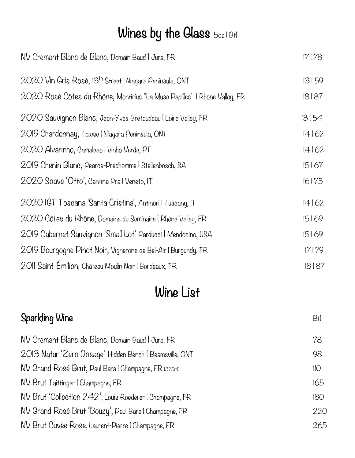# Wines by the Glass 50z | Btl

| NV Cremant Blanc de Blanc, Domain Baud I Jura, FR                         | 17178 |
|---------------------------------------------------------------------------|-------|
| 2020 Vin Gris Rosé, 13 <sup>th</sup> Street   Niagara Peninsula, ONT      | 13159 |
| 2020 Rosé Côtes du Rhône, Montirius "La Muse Papilles'   Rhône Valley, FR | 18187 |
| 2020 Sauvignon Blanc, Jean-Yves Bretaudeau I Loire Valley, FR             | 13154 |
| 2019 Chardonnay, Tawse I Niagara Peninsula, ONT                           | 14162 |
| 2020 Alvarinho, Camaleao I Vinho Verde, PT                                | 14162 |
| 2019 Chenin Blanc, Pearce-Predhomme   Stellenbosch, SA                    | 15167 |
| 2020 Soave 'Otto', Cantina Pra I Veneto, IT                               | 16175 |
| 2020 IGT Toscana 'Santa Cristina', Antinori I Tuscany, IT                 | 14162 |
| 2020 Côtes du Rhône, Domaine du Seminaire   Rhône Valley, FR              | 15169 |
| 2019 Cabernet Sauvignon 'Small Lot' Parducci   Mendocino, USA             | 15169 |
| 2019 Bourgogne Pinot Noir, Vignerons de Bel-Air I Burgundy, FR            | 17179 |
| 2011 Saint-Émilion, Château Moulin Noir I Bordeaux, FR                    | 18187 |

## Wine List

| Sparkling Wine                                           | Błl |
|----------------------------------------------------------|-----|
| NV Cremant Blanc de Blanc, Domain Baud I Jura, FR        | 78  |
| 2013 Natur 'Zero Dosage' Hidden Bench   Beamsville, ONT  | 98  |
| NV Grand Rosé Brut, Paul Bara I Champagne, FR (375ml)    | 110 |
| NV Brut Taittinger I Champagne, FR                       | 165 |
| NV Brut 'Collection 242', Louis Roederer I Champagne, FR | 180 |
| NV Grand Rosé Brut 'Bouzy', Paul Bara I Champagne, FR    | 220 |
| NV Brut Cuvée Rose, Laurent-Pierre   Champagne, FR       | 265 |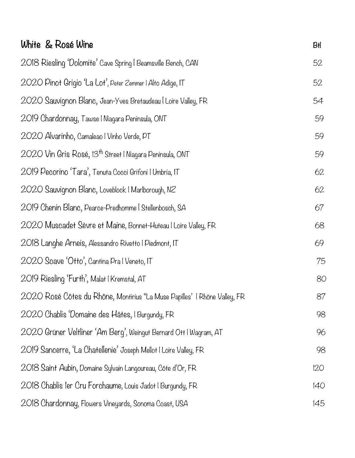| White & Rosé Wine                                                         | Błl |
|---------------------------------------------------------------------------|-----|
| 2018 Riesling 'Dolomite' Cave Spring   Beamsville Bench, CAN              | 52  |
| 2020 Pinot Grigio 'La Lot', Peter Zemmer I Alto Adige, IT                 | 52  |
| 2020 Sauvignon Blanc, Jean-Yves Bretaudeau I Loire Valley, FR             | 54  |
| 2019 Chardonnay, Tawse   Niagara Peninsula, ONT                           | 59  |
| 2020 Alvarinho, Camaleao I Vinho Verde, PT                                | 59  |
| 2020 Vin Gris Rosé, 13 <sup>th</sup> Street   Niagara Peninsula, ONT      | 59  |
| 2019 Pecorino 'Tara', Tenuta Cocci Grifoni I Umbria, IT                   | 62  |
| 2020 Sauvignon Blanc, Loveblock   Marlborough, NZ                         | 62  |
| 2019 Chenin Blanc, Pearce-Predhomme   Stellenbosch, SA                    | 67  |
| 2020 Muscadet Sèvre et Maine, Bonnet-Huteau I Loire Valley, FR            | 68  |
| 2018 Langhe Arneis, Alessandro Rivetto   Piedmont, IT                     | 69  |
| 2020 Soave 'Otto', Cantina Pra I Veneto, IT                               | 75  |
| 2019 Riesling 'Furth', Malat I Kremstal, AT                               | 80  |
| 2020 Rosé Côtes du Rhône, Montirius "La Muse Papilles'   Rhône Valley, FR | 87  |
| 2020 Chablis Domaine des Hâtes, I Burgundy, FR                            | 98  |
| 2020 Grüner Veltliner 'Am Berg', Weingut Bernard Ott I Wagram, AT         | 96  |
| 2019 Sancerre, 'La Chatellenie' Joseph Mellot I Loire Valley, FR          | 98  |
| 2018 Saint Aubin, Domaine Sylvain Langoureau, Côte d'Or, FR               | 120 |
| 2018 Chablis Ier Cru Forchaume, Louis Jadot I Burgundy, FR                | 140 |
| 2018 Chardonnay, Flowers Vineyards, Sonoma Coast, USA                     | 145 |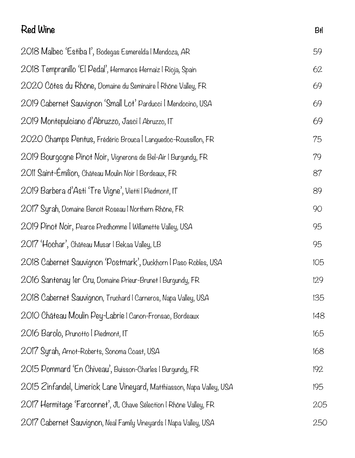# Red Wine Btl 2018 Malbec 'Estiba I', Bodegas Esmerelda | Mendoza, AR 59 2018 Tempranillo 'El Pedal', Hermanos Hernaiz | Rioja, Spain 62 2020 Côtes du Rhône, Domaine du Seminaire | Rhône Valley, FR 69 2019 Cabernet Sauvignon 'Small Lot' Parducci | Mendocino, USA 69 2019 Montepulciano d'Abruzzo, Jasci | Abruzzo, IT 69 2020 Champs Pentus, Frédéric Brouca | Languedoc-Roussillon, FR 75 2019 Bourgogne Pinot Noir, Vignerons de Bel-Air | Burgundy, FR 79 2011 Saint-Émilion, Château Moulin Noir | Bordeaux, FR 87 2019 Barbera d'Asti 'Tre Vigne', Vietti | Piedmont, IT 89 2017 Syrah, Domaine Benoît Roseau | Northern Rhône, FR 90 2019 Pinot Noir, Pearce Predhomme | Willamette Valley, USA 95 2017 'Hochar', Château Musar | Bekaa Valley, LB 95 2018 Cabernet Sauvignon 'Postmark', Duckhorn | Paso Robles, USA 105 2016 Santenay 1er Cru, Domaine Prieur-Brunet | Burgundy, FR 129 2018 Cabernet Sauvignon, Truchard | Carneros, Napa Valley, USA 135 2010 Château Moulin Pey-Labrie | Canon-Fronsac, Bordeaux 148 2016 Barolo, Prunotto | Piedmont, IT 165 2017 Syrah, Arnot-Roberts, Sonoma Coast, USA 168 2015 Pommard 'En Chiveau', Buisson-Charles | Burgundy, FR 192 2015 Zinfandel, Limerick Lane Vineyard, Matthiasson, Napa Valley, USA 195 2017 Hermitage 'Farconnet', JL Chave Sélection | Rhône Valley, FR 205 2017 Cabernet Sauvignon, Neal Family Vineyards | Napa Valley, USA 250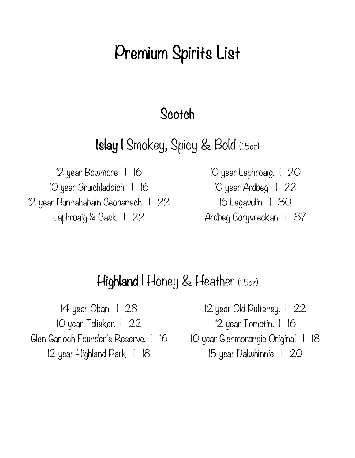# Premium Spirits List

#### **Scotch**

## Islay | Smokey, Spicy & Bold (1.5oz)

12 year Bowmore | 16 10 year Laphroaig. | 20 10 year Bruichladdich | 16 10 year Ardbeg | 22 12 year Bunnahabain Ceobanach | 22 16 Lagavulin | 30 Laphroaig ¼ Cask 1 22 Ardbeg Coryvreckan 1 37

### Highland I Honey & Heather (1.5oz)

14 year Oban | 28 12 year Old Pulteney. | 22 10 year Talisker. | 22 12 year Tomatin. | 16 Glen Garioch Founder's Reserve. | 16 10 year Glenmorangie Original | 18 12 year Highland Park | 18 15 year Dalwhinnie | 20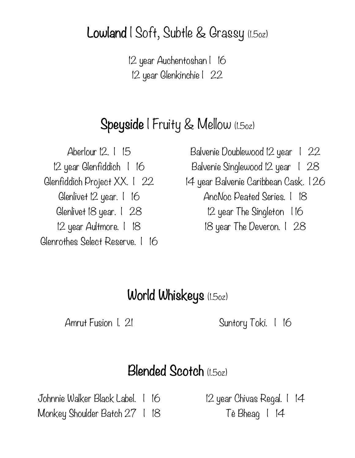Lowland | Soft, Subtle & Grassy (1.5oz)

12 year Auchentoshan | 16 12 year Glenkinchie | 22

## Speyside | Fruity & Mellow (1.502)

Glenlivet 12 year. | 16 AncNoc Peated Series. | 18 Glenlivet 18 year. 1 28 12 year The Singleton 116 12 year Aultmore. | 18 18 year The Deveron. | 28 Glenrothes Select Reserve. | 16

Aberlour 12. I 15 Balvenie Doublewood 12 year 1 22

12 year Glenfiddich | 16 Balvenie Singlewood 12 year | 28

Glenfiddich Project XX. 1 22 14 year Balvenie Caribbean Cask. 126

### World Whiskeys (1.5oz)

Amrut Fusion I. 21 Suntory Toki. 1 16

### Blended Scotch (1.5oz)

Johnnie Walker Black Label. | 16 12 year Chivas Regal. | 14 Monkey Shoulder Batch 27 | 18 Tè Bheag | 14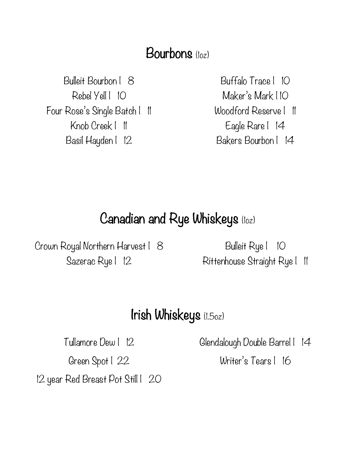### Bourbons (loz)

Bulleit Bourbon | 8 Buffalo Trace | 10 Rebel Yell | 10 Maker's Mark | 10 Four Rose's Single Batch | 11 Woodford Reserve | 11 Knob Creek | 11 Eagle Rare | 14 Basil Hayden | 12 Bakers Bourbon | 14

### Canadian and Rye Whiskeys (1oz)

Crown Royal Northern Harvest | 8 Bulleit Rye | 10

Sazerac Rye | 12 Rittenhouse Straight Rye | 11

#### Irish Whiskeys (1.5oz)

Green Spot | 22 Writer's Tears | 16 12 year Red Breast Pot Still | 20

Tullamore Dew | 12 Glendalough Double Barrel | 14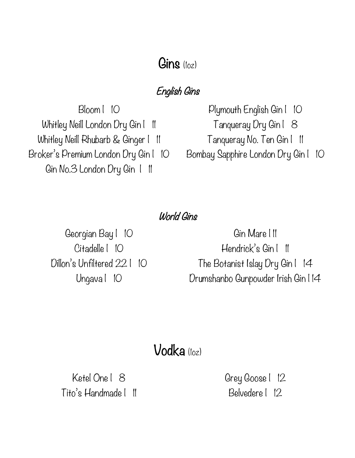### $G$ ins  $(log)$

#### English Gins

Whitley Neill London Dry Gin | 11 Tanqueray Dry Gin | 8 Whitley Neill Rhubarb & Ginger | 11 Tanqueray No. Ten Gin | 11 Broker's Premium London Dry Gin | 10 Gin No.3 London Dry Gin | 11

Bloom | 10 Plymouth English Gin | 10 Bombay Sapphire London Dry Gin | 10

#### World Gins

Citadelle | 10

Georgian Bay | 10 Gin Mare | 11 Hendrick's Gin I II Dillon's Unfiltered 221 10 The Botanist Islay Dry Gin 14 Ungava | 10 Drumshanbo Gunpowder Irish Gin | 14

## Vodka (1oz)

Ketel One | 8 Grey Goose | 12 Tito's Handmade | 11 Belvedere | 12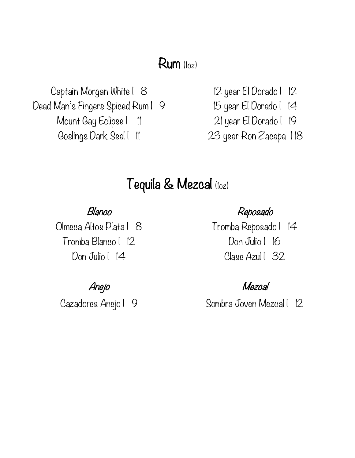#### Rum (1oz)

Captain Morgan White | 8 12 year El Dorado | 12 Dead Man's Fingers Spiced Rum | 9 15 year El Dorado | 14 Mount Gay Eclipse | 11 21 year El Dorado | 19 Goslings Dark Seal | 11 23 year Ron Zacapa | 18

## Tequila & Mezcal (1oz)

Tromba Blanco | 12 Don Julio | 16

#### Blanco Reposado

Olmeca Altos Plata | 8 Tromba Reposado | 14 Don Julio | 14 Clase Azul | 32

#### Anejo Mezcal

Cazadores Anejo | 9 Sombra Joven Mezcal | 12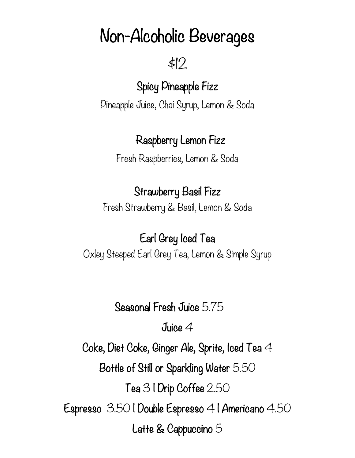# Non-Alcoholic Beverages

\$12

## Spicy Pineapple Fizz

Pineapple Juice, Chai Syrup, Lemon & Soda

## Raspberry Lemon Fizz

Fresh Raspberries, Lemon & Soda

### Strawberry Basil Fizz

Fresh Strawberry & Basil, Lemon & Soda

## Earl Grey Iced Tea

Oxley Steeped Earl Grey Tea, Lemon & Simple Syrup

Seasonal Fresh Juice 5.75

Juice 4

Coke, Diet Coke, Ginger Ale, Sprite, Iced Tea 4

Bottle of Still or Sparkling Water 5.50

Tea 3 | Drip Coffee 2.50

Espresso 3.50 | Double Espresso 4 | Americano 4.50

Latte & Cappuccino 5